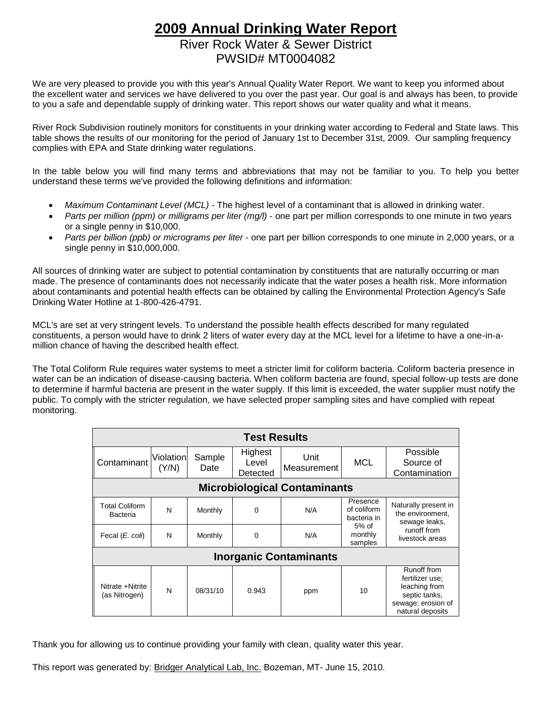# **2009 Annual Drinking Water Report** River Rock Water & Sewer District PWSID# MT0004082

We are very pleased to provide you with this year's Annual Quality Water Report. We want to keep you informed about the excellent water and services we have delivered to you over the past year. Our goal is and always has been, to provide to you a safe and dependable supply of drinking water. This report shows our water quality and what it means.

River Rock Subdivision routinely monitors for constituents in your drinking water according to Federal and State laws. This table shows the results of our monitoring for the period of January 1st to December 31st, 2009. Our sampling frequency complies with EPA and State drinking water regulations.

In the table below you will find many terms and abbreviations that may not be familiar to you. To help you better understand these terms we've provided the following definitions and information:

- *Maximum Contaminant Level (MCL) -* The highest level of a contaminant that is allowed in drinking water.
- *Parts per million (ppm) or milligrams per liter (mg/l)* one part per million corresponds to one minute in two years or a single penny in \$10,000.
- *Parts per billion (ppb) or micrograms per liter* one part per billion corresponds to one minute in 2,000 years, or a single penny in \$10,000,000.

All sources of drinking water are subject to potential contamination by constituents that are naturally occurring or man made. The presence of contaminants does not necessarily indicate that the water poses a health risk. More information about contaminants and potential health effects can be obtained by calling the Environmental Protection Agency's Safe Drinking Water Hotline at 1-800-426-4791.

MCL's are set at very stringent levels. To understand the possible health effects described for many regulated constituents, a person would have to drink 2 liters of water every day at the MCL level for a lifetime to have a one-in-amillion chance of having the described health effect.

The Total Coliform Rule requires water systems to meet a stricter limit for coliform bacteria. Coliform bacteria presence in water can be an indication of disease-causing bacteria. When coliform bacteria are found, special follow-up tests are done to determine if harmful bacteria are present in the water supply. If this limit is exceeded, the water supplier must notify the public. To comply with the stricter regulation, we have selected proper sampling sites and have complied with repeat monitoring.

| <b>Test Results</b>                 |                    |                |                              |                     |                                                                         |                                                                                                            |  |  |  |
|-------------------------------------|--------------------|----------------|------------------------------|---------------------|-------------------------------------------------------------------------|------------------------------------------------------------------------------------------------------------|--|--|--|
| Contaminant                         | Violation<br>(Y/N) | Sample<br>Date | Highest<br>Level<br>Detected | Unit<br>Measurement | MCL                                                                     | Possible<br>Source of<br>Contamination                                                                     |  |  |  |
| <b>Microbiological Contaminants</b> |                    |                |                              |                     |                                                                         |                                                                                                            |  |  |  |
| <b>Total Coliform</b><br>Bacteria   | N                  | Monthly        | $\Omega$                     | N/A                 | Presence<br>of coliform<br>bacteria in<br>$5%$ of<br>monthly<br>samples | Naturally present in<br>the environment,<br>sewage leaks.<br>runoff from<br>livestock areas                |  |  |  |
| Fecal (E. coli)                     | N                  | Monthly        | $\mathbf 0$                  | N/A                 |                                                                         |                                                                                                            |  |  |  |
| <b>Inorganic Contaminants</b>       |                    |                |                              |                     |                                                                         |                                                                                                            |  |  |  |
| Nitrate +Nitrite<br>(as Nitrogen)   | N                  | 08/31/10       | 0.943                        | ppm                 | 10                                                                      | Runoff from<br>fertilizer use;<br>leaching from<br>septic tanks,<br>sewage; erosion of<br>natural deposits |  |  |  |

Thank you for allowing us to continue providing your family with clean, quality water this year.

This report was generated by: Bridger Analytical Lab, Inc. Bozeman, MT- June 15, 2010.